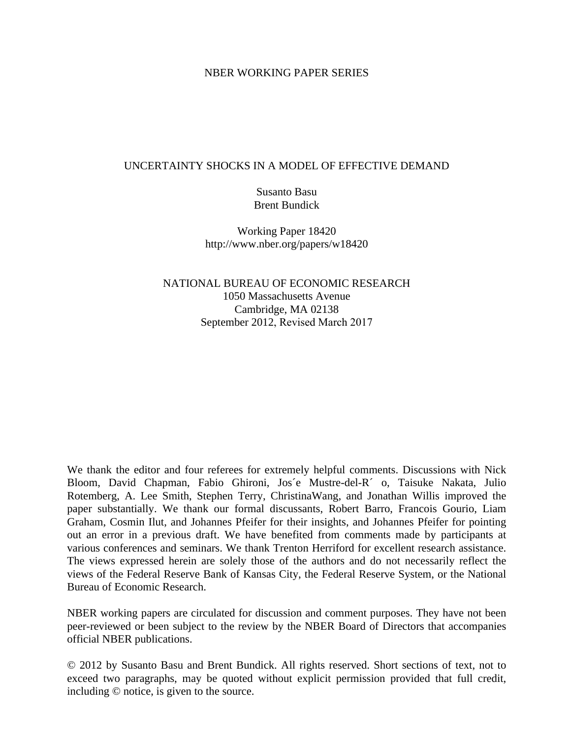#### NBER WORKING PAPER SERIES

#### UNCERTAINTY SHOCKS IN A MODEL OF EFFECTIVE DEMAND

Susanto Basu Brent Bundick

Working Paper 18420 http://www.nber.org/papers/w18420

NATIONAL BUREAU OF ECONOMIC RESEARCH 1050 Massachusetts Avenue Cambridge, MA 02138 September 2012, Revised March 2017

We thank the editor and four referees for extremely helpful comments. Discussions with Nick Bloom, David Chapman, Fabio Ghironi, Jos´e Mustre-del-R´ o, Taisuke Nakata, Julio Rotemberg, A. Lee Smith, Stephen Terry, ChristinaWang, and Jonathan Willis improved the paper substantially. We thank our formal discussants, Robert Barro, Francois Gourio, Liam Graham, Cosmin Ilut, and Johannes Pfeifer for their insights, and Johannes Pfeifer for pointing out an error in a previous draft. We have benefited from comments made by participants at various conferences and seminars. We thank Trenton Herriford for excellent research assistance. The views expressed herein are solely those of the authors and do not necessarily reflect the views of the Federal Reserve Bank of Kansas City, the Federal Reserve System, or the National Bureau of Economic Research.

NBER working papers are circulated for discussion and comment purposes. They have not been peer-reviewed or been subject to the review by the NBER Board of Directors that accompanies official NBER publications.

© 2012 by Susanto Basu and Brent Bundick. All rights reserved. Short sections of text, not to exceed two paragraphs, may be quoted without explicit permission provided that full credit, including © notice, is given to the source.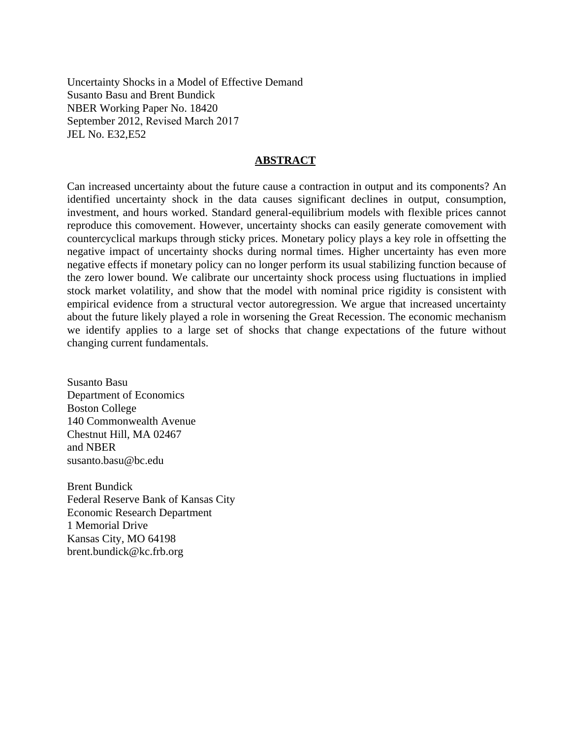Uncertainty Shocks in a Model of Effective Demand Susanto Basu and Brent Bundick NBER Working Paper No. 18420 September 2012, Revised March 2017 JEL No. E32,E52

#### **ABSTRACT**

Can increased uncertainty about the future cause a contraction in output and its components? An identified uncertainty shock in the data causes significant declines in output, consumption, investment, and hours worked. Standard general-equilibrium models with flexible prices cannot reproduce this comovement. However, uncertainty shocks can easily generate comovement with countercyclical markups through sticky prices. Monetary policy plays a key role in offsetting the negative impact of uncertainty shocks during normal times. Higher uncertainty has even more negative effects if monetary policy can no longer perform its usual stabilizing function because of the zero lower bound. We calibrate our uncertainty shock process using fluctuations in implied stock market volatility, and show that the model with nominal price rigidity is consistent with empirical evidence from a structural vector autoregression. We argue that increased uncertainty about the future likely played a role in worsening the Great Recession. The economic mechanism we identify applies to a large set of shocks that change expectations of the future without changing current fundamentals.

Susanto Basu Department of Economics Boston College 140 Commonwealth Avenue Chestnut Hill, MA 02467 and NBER susanto.basu@bc.edu

Brent Bundick Federal Reserve Bank of Kansas City Economic Research Department 1 Memorial Drive Kansas City, MO 64198 brent.bundick@kc.frb.org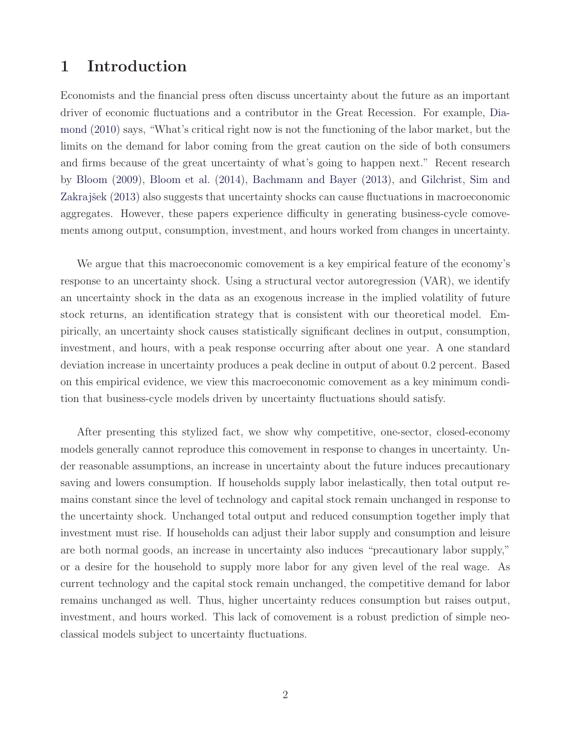# **1 Introduction**

Economists and the financial press often discuss uncertainty about the future as an important driver of economic fluctuations and a contributor in the Great Recession. For example, Diamond (2010) says, "What's critical right now is not the functioning of the labor market, but the limits on the demand for labor coming from the great caution on the side of both consumers and firms because of the great uncertainty of what's going to happen next." Recent research by Bloom (2009), Bloom et al. (2014), Bachmann and Bayer (2013), and Gilchrist, Sim and Zakrajšek (2013) also suggests that uncertainty shocks can cause fluctuations in macroeconomic aggregates. However, these papers experience difficulty in generating business-cycle comovements among output, consumption, investment, and hours worked from changes in uncertainty.

We argue that this macroeconomic comovement is a key empirical feature of the economy's response to an uncertainty shock. Using a structural vector autoregression (VAR), we identify an uncertainty shock in the data as an exogenous increase in the implied volatility of future stock returns, an identification strategy that is consistent with our theoretical model. Empirically, an uncertainty shock causes statistically significant declines in output, consumption, investment, and hours, with a peak response occurring after about one year. A one standard deviation increase in uncertainty produces a peak decline in output of about 0.2 percent. Based on this empirical evidence, we view this macroeconomic comovement as a key minimum condition that business-cycle models driven by uncertainty fluctuations should satisfy.

After presenting this stylized fact, we show why competitive, one-sector, closed-economy models generally cannot reproduce this comovement in response to changes in uncertainty. Under reasonable assumptions, an increase in uncertainty about the future induces precautionary saving and lowers consumption. If households supply labor inelastically, then total output remains constant since the level of technology and capital stock remain unchanged in response to the uncertainty shock. Unchanged total output and reduced consumption together imply that investment must rise. If households can adjust their labor supply and consumption and leisure are both normal goods, an increase in uncertainty also induces "precautionary labor supply," or a desire for the household to supply more labor for any given level of the real wage. As current technology and the capital stock remain unchanged, the competitive demand for labor remains unchanged as well. Thus, higher uncertainty reduces consumption but raises output, investment, and hours worked. This lack of comovement is a robust prediction of simple neoclassical models subject to uncertainty fluctuations.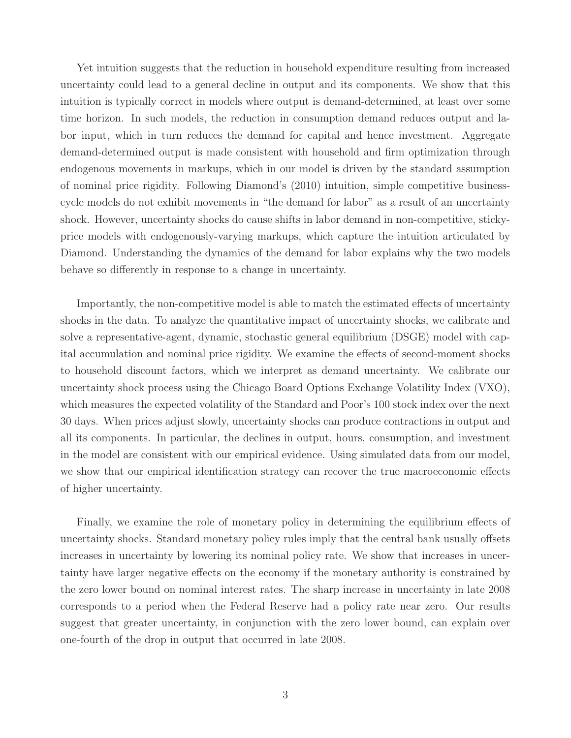Yet intuition suggests that the reduction in household expenditure resulting from increased uncertainty could lead to a general decline in output and its components. We show that this intuition is typically correct in models where output is demand-determined, at least over some time horizon. In such models, the reduction in consumption demand reduces output and labor input, which in turn reduces the demand for capital and hence investment. Aggregate demand-determined output is made consistent with household and firm optimization through endogenous movements in markups, which in our model is driven by the standard assumption of nominal price rigidity. Following Diamond's (2010) intuition, simple competitive businesscycle models do not exhibit movements in "the demand for labor" as a result of an uncertainty shock. However, uncertainty shocks do cause shifts in labor demand in non-competitive, stickyprice models with endogenously-varying markups, which capture the intuition articulated by Diamond. Understanding the dynamics of the demand for labor explains why the two models behave so differently in response to a change in uncertainty.

Importantly, the non-competitive model is able to match the estimated effects of uncertainty shocks in the data. To analyze the quantitative impact of uncertainty shocks, we calibrate and solve a representative-agent, dynamic, stochastic general equilibrium (DSGE) model with capital accumulation and nominal price rigidity. We examine the effects of second-moment shocks to household discount factors, which we interpret as demand uncertainty. We calibrate our uncertainty shock process using the Chicago Board Options Exchange Volatility Index (VXO), which measures the expected volatility of the Standard and Poor's 100 stock index over the next 30 days. When prices adjust slowly, uncertainty shocks can produce contractions in output and all its components. In particular, the declines in output, hours, consumption, and investment in the model are consistent with our empirical evidence. Using simulated data from our model, we show that our empirical identification strategy can recover the true macroeconomic effects of higher uncertainty.

Finally, we examine the role of monetary policy in determining the equilibrium effects of uncertainty shocks. Standard monetary policy rules imply that the central bank usually offsets increases in uncertainty by lowering its nominal policy rate. We show that increases in uncertainty have larger negative effects on the economy if the monetary authority is constrained by the zero lower bound on nominal interest rates. The sharp increase in uncertainty in late 2008 corresponds to a period when the Federal Reserve had a policy rate near zero. Our results suggest that greater uncertainty, in conjunction with the zero lower bound, can explain over one-fourth of the drop in output that occurred in late 2008.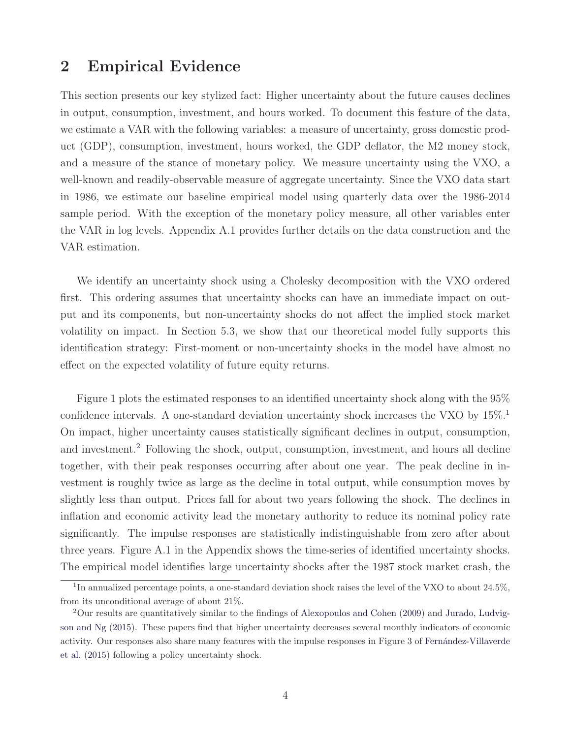# **2 Empirical Evidence**

This section presents our key stylized fact: Higher uncertainty about the future causes declines in output, consumption, investment, and hours worked. To document this feature of the data, we estimate a VAR with the following variables: a measure of uncertainty, gross domestic product (GDP), consumption, investment, hours worked, the GDP deflator, the M2 money stock, and a measure of the stance of monetary policy. We measure uncertainty using the VXO, a well-known and readily-observable measure of aggregate uncertainty. Since the VXO data start in 1986, we estimate our baseline empirical model using quarterly data over the 1986-2014 sample period. With the exception of the monetary policy measure, all other variables enter the VAR in log levels. Appendix A.1 provides further details on the data construction and the VAR estimation.

We identify an uncertainty shock using a Cholesky decomposition with the VXO ordered first. This ordering assumes that uncertainty shocks can have an immediate impact on output and its components, but non-uncertainty shocks do not affect the implied stock market volatility on impact. In Section 5.3, we show that our theoretical model fully supports this identification strategy: First-moment or non-uncertainty shocks in the model have almost no effect on the expected volatility of future equity returns.

Figure 1 plots the estimated responses to an identified uncertainty shock along with the 95% confidence intervals. A one-standard deviation uncertainty shock increases the VXO by  $15\%$ <sup>1</sup> On impact, higher uncertainty causes statistically significant declines in output, consumption, and investment.<sup>2</sup> Following the shock, output, consumption, investment, and hours all decline together, with their peak responses occurring after about one year. The peak decline in investment is roughly twice as large as the decline in total output, while consumption moves by slightly less than output. Prices fall for about two years following the shock. The declines in inflation and economic activity lead the monetary authority to reduce its nominal policy rate significantly. The impulse responses are statistically indistinguishable from zero after about three years. Figure A.1 in the Appendix shows the time-series of identified uncertainty shocks. The empirical model identifies large uncertainty shocks after the 1987 stock market crash, the

<sup>&</sup>lt;sup>1</sup>In annualized percentage points, a one-standard deviation shock raises the level of the VXO to about 24.5%, from its unconditional average of about 21%.

<sup>2</sup>Our results are quantitatively similar to the findings of Alexopoulos and Cohen (2009) and Jurado, Ludvigson and Ng (2015). These papers find that higher uncertainty decreases several monthly indicators of economic activity. Our responses also share many features with the impulse responses in Figure 3 of Fernández-Villaverde et al. (2015) following a policy uncertainty shock.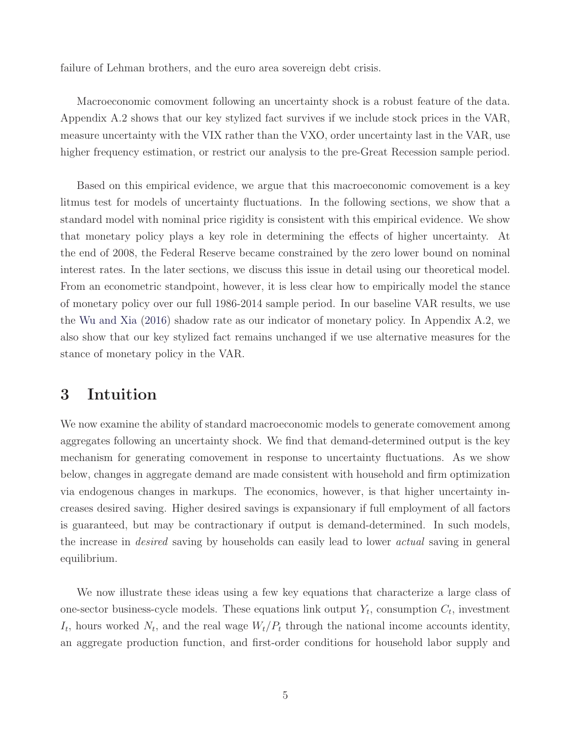failure of Lehman brothers, and the euro area sovereign debt crisis.

Macroeconomic comovment following an uncertainty shock is a robust feature of the data. Appendix A.2 shows that our key stylized fact survives if we include stock prices in the VAR, measure uncertainty with the VIX rather than the VXO, order uncertainty last in the VAR, use higher frequency estimation, or restrict our analysis to the pre-Great Recession sample period.

Based on this empirical evidence, we argue that this macroeconomic comovement is a key litmus test for models of uncertainty fluctuations. In the following sections, we show that a standard model with nominal price rigidity is consistent with this empirical evidence. We show that monetary policy plays a key role in determining the effects of higher uncertainty. At the end of 2008, the Federal Reserve became constrained by the zero lower bound on nominal interest rates. In the later sections, we discuss this issue in detail using our theoretical model. From an econometric standpoint, however, it is less clear how to empirically model the stance of monetary policy over our full 1986-2014 sample period. In our baseline VAR results, we use the Wu and Xia (2016) shadow rate as our indicator of monetary policy. In Appendix A.2, we also show that our key stylized fact remains unchanged if we use alternative measures for the stance of monetary policy in the VAR.

### **3 Intuition**

We now examine the ability of standard macroeconomic models to generate comovement among aggregates following an uncertainty shock. We find that demand-determined output is the key mechanism for generating comovement in response to uncertainty fluctuations. As we show below, changes in aggregate demand are made consistent with household and firm optimization via endogenous changes in markups. The economics, however, is that higher uncertainty increases desired saving. Higher desired savings is expansionary if full employment of all factors is guaranteed, but may be contractionary if output is demand-determined. In such models, the increase in *desired* saving by households can easily lead to lower *actual* saving in general equilibrium.

We now illustrate these ideas using a few key equations that characterize a large class of one-sector business-cycle models. These equations link output  $Y_t$ , consumption  $C_t$ , investment  $I_t$ , hours worked  $N_t$ , and the real wage  $W_t/P_t$  through the national income accounts identity, an aggregate production function, and first-order conditions for household labor supply and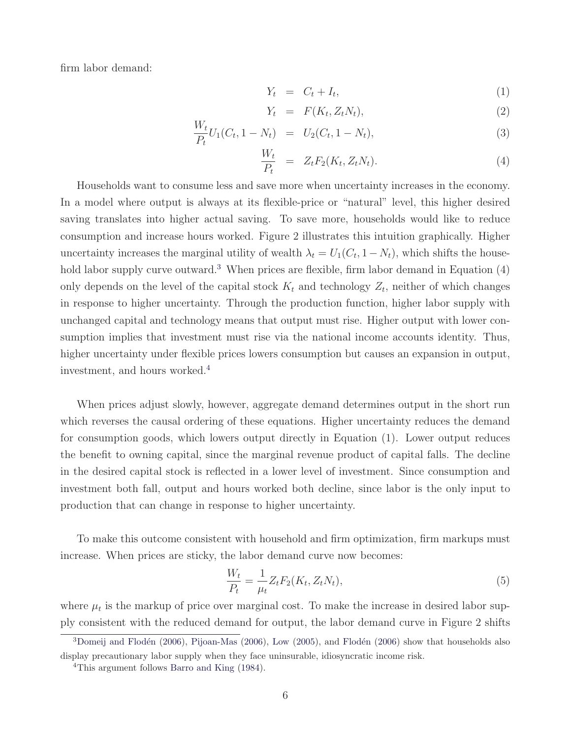firm labor demand:

$$
Y_t = C_t + I_t,\tag{1}
$$

$$
Y_t = F(K_t, Z_t N_t), \qquad (2)
$$

$$
\frac{W_t}{P_t}U_1(C_t, 1 - N_t) = U_2(C_t, 1 - N_t),
$$
\n(3)

$$
\frac{W_t}{P_t} = Z_t F_2(K_t, Z_t N_t). \tag{4}
$$

Households want to consume less and save more when uncertainty increases in the economy. In a model where output is always at its flexible-price or "natural" level, this higher desired saving translates into higher actual saving. To save more, households would like to reduce consumption and increase hours worked. Figure 2 illustrates this intuition graphically. Higher uncertainty increases the marginal utility of wealth  $\lambda_t = U_1(C_t, 1-N_t)$ , which shifts the household labor supply curve outward.<sup>3</sup> When prices are flexible, firm labor demand in Equation  $(4)$ only depends on the level of the capital stock  $K_t$  and technology  $Z_t$ , neither of which changes in response to higher uncertainty. Through the production function, higher labor supply with unchanged capital and technology means that output must rise. Higher output with lower consumption implies that investment must rise via the national income accounts identity. Thus, higher uncertainty under flexible prices lowers consumption but causes an expansion in output, investment, and hours worked.<sup>4</sup>

When prices adjust slowly, however, aggregate demand determines output in the short run which reverses the causal ordering of these equations. Higher uncertainty reduces the demand for consumption goods, which lowers output directly in Equation (1). Lower output reduces the benefit to owning capital, since the marginal revenue product of capital falls. The decline in the desired capital stock is reflected in a lower level of investment. Since consumption and investment both fall, output and hours worked both decline, since labor is the only input to production that can change in response to higher uncertainty.

To make this outcome consistent with household and firm optimization, firm markups must increase. When prices are sticky, the labor demand curve now becomes:

$$
\frac{W_t}{P_t} = \frac{1}{\mu_t} Z_t F_2(K_t, Z_t N_t),
$$
\n(5)

where  $\mu_t$  is the markup of price over marginal cost. To make the increase in desired labor supply consistent with the reduced demand for output, the labor demand curve in Figure 2 shifts

 $3$ Domeij and Flodén (2006), Pijoan-Mas (2006), Low (2005), and Flodén (2006) show that households also display precautionary labor supply when they face uninsurable, idiosyncratic income risk.

<sup>4</sup>This argument follows Barro and King (1984).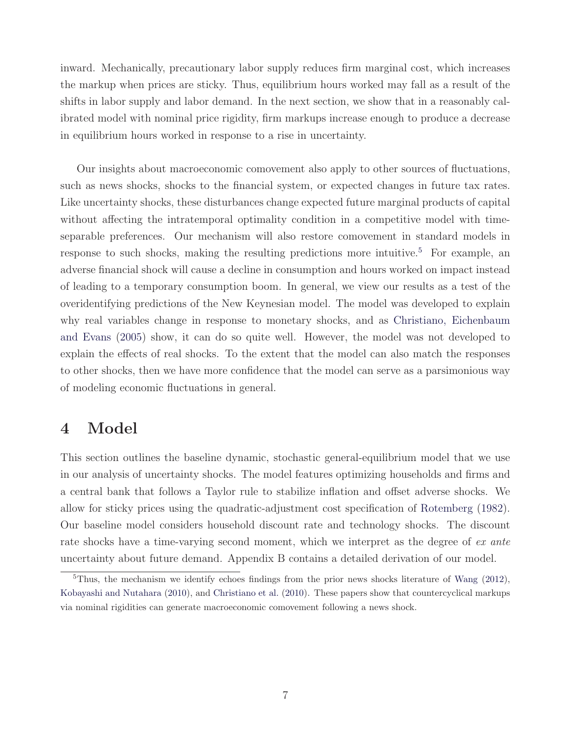inward. Mechanically, precautionary labor supply reduces firm marginal cost, which increases the markup when prices are sticky. Thus, equilibrium hours worked may fall as a result of the shifts in labor supply and labor demand. In the next section, we show that in a reasonably calibrated model with nominal price rigidity, firm markups increase enough to produce a decrease in equilibrium hours worked in response to a rise in uncertainty.

Our insights about macroeconomic comovement also apply to other sources of fluctuations, such as news shocks, shocks to the financial system, or expected changes in future tax rates. Like uncertainty shocks, these disturbances change expected future marginal products of capital without affecting the intratemporal optimality condition in a competitive model with timeseparable preferences. Our mechanism will also restore comovement in standard models in response to such shocks, making the resulting predictions more intuitive.<sup>5</sup> For example, an adverse financial shock will cause a decline in consumption and hours worked on impact instead of leading to a temporary consumption boom. In general, we view our results as a test of the overidentifying predictions of the New Keynesian model. The model was developed to explain why real variables change in response to monetary shocks, and as Christiano, Eichenbaum and Evans (2005) show, it can do so quite well. However, the model was not developed to explain the effects of real shocks. To the extent that the model can also match the responses to other shocks, then we have more confidence that the model can serve as a parsimonious way of modeling economic fluctuations in general.

# **4 Model**

This section outlines the baseline dynamic, stochastic general-equilibrium model that we use in our analysis of uncertainty shocks. The model features optimizing households and firms and a central bank that follows a Taylor rule to stabilize inflation and offset adverse shocks. We allow for sticky prices using the quadratic-adjustment cost specification of Rotemberg (1982). Our baseline model considers household discount rate and technology shocks. The discount rate shocks have a time-varying second moment, which we interpret as the degree of ex ante uncertainty about future demand. Appendix B contains a detailed derivation of our model.

 $5$ Thus, the mechanism we identify echoes findings from the prior news shocks literature of Wang (2012), Kobayashi and Nutahara (2010), and Christiano et al. (2010). These papers show that countercyclical markups via nominal rigidities can generate macroeconomic comovement following a news shock.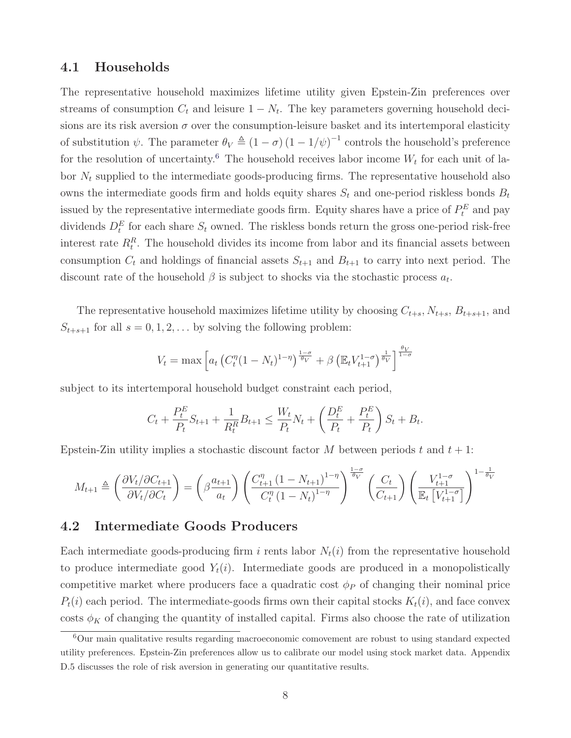#### **4.1 Households**

The representative household maximizes lifetime utility given Epstein-Zin preferences over streams of consumption  $C_t$  and leisure  $1 - N_t$ . The key parameters governing household decisions are its risk aversion  $\sigma$  over the consumption-leisure basket and its intertemporal elasticity of substitution  $\psi$ . The parameter  $\theta_V \triangleq (1 - \sigma) (1 - 1/\psi)^{-1}$  controls the household's preference for the resolution of uncertainty.<sup>6</sup> The household receives labor income  $W_t$  for each unit of labor  $N_t$  supplied to the intermediate goods-producing firms. The representative household also owns the intermediate goods firm and holds equity shares  $S_t$  and one-period riskless bonds  $B_t$ issued by the representative intermediate goods firm. Equity shares have a price of  $P_t^E$  and pay dividends  $D_t^E$  for each share  $S_t$  owned. The riskless bonds return the gross one-period risk-free interest rate  $R_t^R$ . The household divides its income from labor and its financial assets between consumption  $C_t$  and holdings of financial assets  $S_{t+1}$  and  $B_{t+1}$  to carry into next period. The discount rate of the household  $\beta$  is subject to shocks via the stochastic process  $a_t$ .

The representative household maximizes lifetime utility by choosing  $C_{t+s}$ ,  $N_{t+s}$ ,  $B_{t+s+1}$ , and  $S_{t+s+1}$  for all  $s = 0, 1, 2, \ldots$  by solving the following problem:

$$
V_t = \max \left[ a_t \left( C_t^{\eta} (1 - N_t)^{1 - \eta} \right)^{\frac{1 - \sigma}{\theta_V}} + \beta \left( \mathbb{E}_t V_{t+1}^{1 - \sigma} \right)^{\frac{1}{\theta_V}} \right]^{\frac{\theta_V}{1 - \sigma}}
$$

subject to its intertemporal household budget constraint each period,

$$
C_t + \frac{P_t^E}{P_t} S_{t+1} + \frac{1}{R_t^R} B_{t+1} \le \frac{W_t}{P_t} N_t + \left(\frac{D_t^E}{P_t} + \frac{P_t^E}{P_t}\right) S_t + B_t.
$$

Epstein-Zin utility implies a stochastic discount factor M between periods t and  $t + 1$ :

$$
M_{t+1} \triangleq \left(\frac{\partial V_t/\partial C_{t+1}}{\partial V_t/\partial C_t}\right) = \left(\beta \frac{a_{t+1}}{a_t}\right) \left(\frac{C_{t+1}^{\eta} (1 - N_{t+1})^{1-\eta}}{C_t^{\eta} (1 - N_t)^{1-\eta}}\right)^{\frac{1-\sigma}{\theta_V}} \left(\frac{C_t}{C_{t+1}}\right) \left(\frac{V_{t+1}^{1-\sigma}}{\mathbb{E}_t \left[V_{t+1}^{1-\sigma}\right]}\right)^{1-\frac{1}{\theta_V}}
$$

#### **4.2 Intermediate Goods Producers**

Each intermediate goods-producing firm i rents labor  $N_t(i)$  from the representative household to produce intermediate good  $Y_t(i)$ . Intermediate goods are produced in a monopolistically competitive market where producers face a quadratic cost  $\phi_P$  of changing their nominal price  $P_t(i)$  each period. The intermediate-goods firms own their capital stocks  $K_t(i)$ , and face convex costs  $\phi_K$  of changing the quantity of installed capital. Firms also choose the rate of utilization

 $6$ Our main qualitative results regarding macroeconomic comovement are robust to using standard expected utility preferences. Epstein-Zin preferences allow us to calibrate our model using stock market data. Appendix D.5 discusses the role of risk aversion in generating our quantitative results.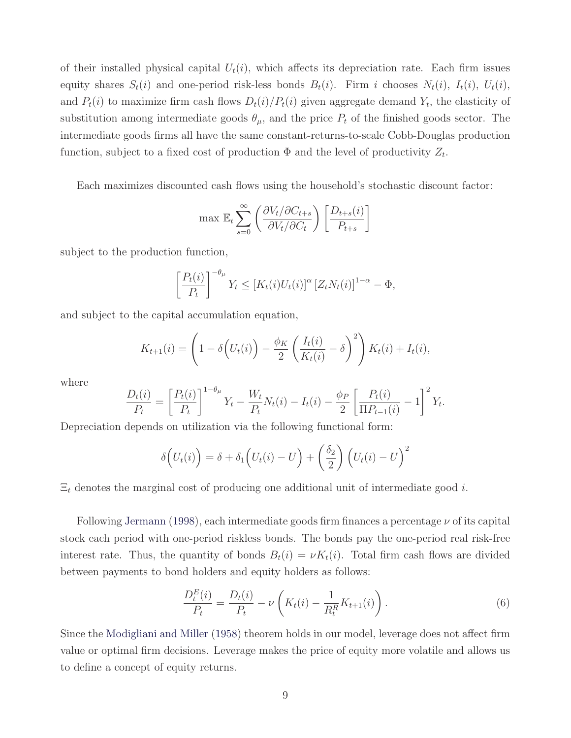of their installed physical capital  $U_t(i)$ , which affects its depreciation rate. Each firm issues equity shares  $S_t(i)$  and one-period risk-less bonds  $B_t(i)$ . Firm i chooses  $N_t(i)$ ,  $I_t(i)$ ,  $U_t(i)$ , and  $P_t(i)$  to maximize firm cash flows  $D_t(i)/P_t(i)$  given aggregate demand  $Y_t$ , the elasticity of substitution among intermediate goods  $\theta_{\mu}$ , and the price  $P_t$  of the finished goods sector. The intermediate goods firms all have the same constant-returns-to-scale Cobb-Douglas production function, subject to a fixed cost of production  $\Phi$  and the level of productivity  $Z_t$ .

Each maximizes discounted cash flows using the household's stochastic discount factor:

$$
\max \mathbb{E}_{t} \sum_{s=0}^{\infty} \left( \frac{\partial V_t / \partial C_{t+s}}{\partial V_t / \partial C_t} \right) \left[ \frac{D_{t+s}(i)}{P_{t+s}} \right]
$$

subject to the production function,

$$
\left[\frac{P_t(i)}{P_t}\right]^{-\theta_\mu} Y_t \leq \left[K_t(i)U_t(i)\right]^\alpha \left[Z_t N_t(i)\right]^{1-\alpha} - \Phi,
$$

and subject to the capital accumulation equation,

$$
K_{t+1}(i) = \left(1 - \delta\left(U_t(i)\right) - \frac{\phi_K}{2} \left(\frac{I_t(i)}{K_t(i)} - \delta\right)^2\right) K_t(i) + I_t(i),
$$

where

$$
\frac{D_t(i)}{P_t} = \left[\frac{P_t(i)}{P_t}\right]^{1-\theta\mu} Y_t - \frac{W_t}{P_t} N_t(i) - I_t(i) - \frac{\phi_P}{2} \left[\frac{P_t(i)}{\Pi P_{t-1}(i)} - 1\right]^2 Y_t.
$$

Depreciation depends on utilization via the following functional form:

$$
\delta\Big(U_t(i)\Big) = \delta + \delta_1\Big(U_t(i) - U\Big) + \left(\frac{\delta_2}{2}\right)\Big(U_t(i) - U\Big)^2
$$

 $\Xi_t$  denotes the marginal cost of producing one additional unit of intermediate good *i*.

Following Jermann (1998), each intermediate goods firm finances a percentage  $\nu$  of its capital stock each period with one-period riskless bonds. The bonds pay the one-period real risk-free interest rate. Thus, the quantity of bonds  $B_t(i) = \nu K_t(i)$ . Total firm cash flows are divided between payments to bond holders and equity holders as follows:

$$
\frac{D_t^E(i)}{P_t} = \frac{D_t(i)}{P_t} - \nu \left( K_t(i) - \frac{1}{R_t^R} K_{t+1}(i) \right).
$$
\n(6)

Since the Modigliani and Miller (1958) theorem holds in our model, leverage does not affect firm value or optimal firm decisions. Leverage makes the price of equity more volatile and allows us to define a concept of equity returns.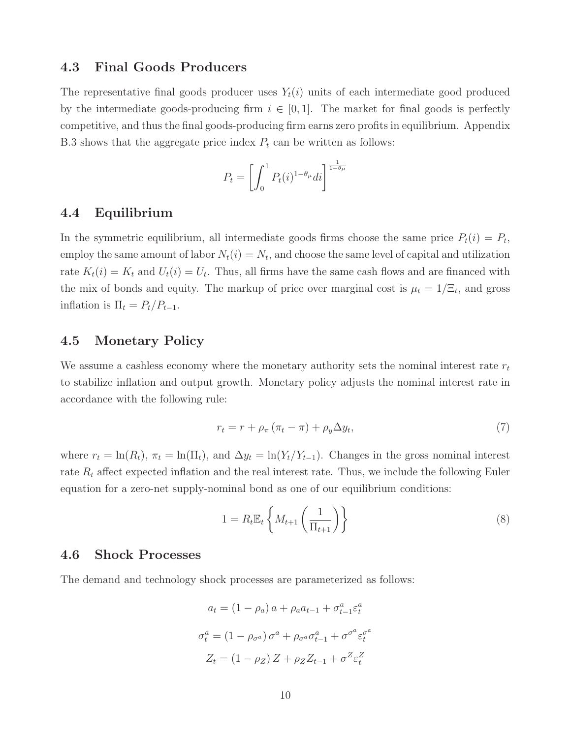#### **4.3 Final Goods Producers**

The representative final goods producer uses  $Y_t(i)$  units of each intermediate good produced by the intermediate goods-producing firm  $i \in [0,1]$ . The market for final goods is perfectly competitive, and thus the final goods-producing firm earns zero profits in equilibrium. Appendix B.3 shows that the aggregate price index  $P_t$  can be written as follows:

$$
P_t = \left[ \int_0^1 P_t(i)^{1-\theta_\mu} di \right]^{\frac{1}{1-\theta_\mu}}
$$

### **4.4 Equilibrium**

In the symmetric equilibrium, all intermediate goods firms choose the same price  $P_t(i) = P_t$ , employ the same amount of labor  $N_t(i) = N_t$ , and choose the same level of capital and utilization rate  $K_t(i) = K_t$  and  $U_t(i) = U_t$ . Thus, all firms have the same cash flows and are financed with the mix of bonds and equity. The markup of price over marginal cost is  $\mu_t = 1/\Xi_t$ , and gross inflation is  $\Pi_t = P_t/P_{t-1}$ .

### **4.5 Monetary Policy**

We assume a cashless economy where the monetary authority sets the nominal interest rate  $r_t$ to stabilize inflation and output growth. Monetary policy adjusts the nominal interest rate in accordance with the following rule:

$$
r_t = r + \rho_\pi \left( \pi_t - \pi \right) + \rho_y \Delta y_t,\tag{7}
$$

where  $r_t = \ln(R_t)$ ,  $\pi_t = \ln(\Pi_t)$ , and  $\Delta y_t = \ln(Y_t/Y_{t-1})$ . Changes in the gross nominal interest rate  $R_t$  affect expected inflation and the real interest rate. Thus, we include the following Euler equation for a zero-net supply-nominal bond as one of our equilibrium conditions:

$$
1 = R_t \mathbb{E}_t \left\{ M_{t+1} \left( \frac{1}{\Pi_{t+1}} \right) \right\} \tag{8}
$$

### **4.6 Shock Processes**

The demand and technology shock processes are parameterized as follows:

$$
a_t = (1 - \rho_a) a + \rho_a a_{t-1} + \sigma_{t-1}^a \varepsilon_t^a
$$

$$
\sigma_t^a = (1 - \rho_{\sigma^a}) \sigma^a + \rho_{\sigma^a} \sigma_{t-1}^a + \sigma^{\sigma^a} \varepsilon_t^{\sigma^a}
$$

$$
Z_t = (1 - \rho_Z) Z + \rho_Z Z_{t-1} + \sigma^Z \varepsilon_t^Z
$$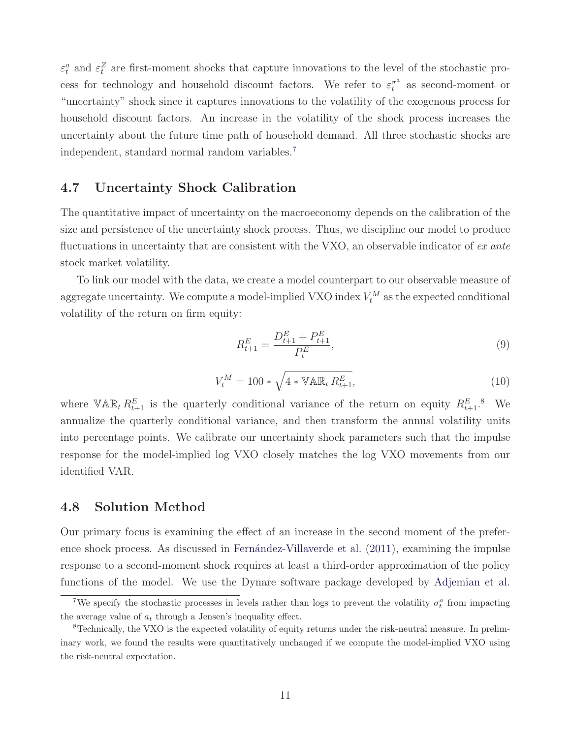$\varepsilon_t^a$  and  $\varepsilon_t^Z$  are first-moment shocks that capture innovations to the level of the stochastic process for technology and household discount factors. We refer to  $\varepsilon_t^{\sigma^a}$  as second-moment or "uncertainty" shock since it captures innovations to the volatility of the exogenous process for household discount factors. An increase in the volatility of the shock process increases the uncertainty about the future time path of household demand. All three stochastic shocks are independent, standard normal random variables.<sup>7</sup>

### **4.7 Uncertainty Shock Calibration**

The quantitative impact of uncertainty on the macroeconomy depends on the calibration of the size and persistence of the uncertainty shock process. Thus, we discipline our model to produce fluctuations in uncertainty that are consistent with the VXO, an observable indicator of  $ex$  ante stock market volatility.

To link our model with the data, we create a model counterpart to our observable measure of aggregate uncertainty. We compute a model-implied VXO index  $V_t^M$  as the expected conditional volatility of the return on firm equity:

$$
R_{t+1}^{E} = \frac{D_{t+1}^{E} + P_{t+1}^{E}}{P_t^{E}},
$$
\n(9)

$$
V_t^M = 100 * \sqrt{4 * \mathbb{VAR}_t R_{t+1}^E},\tag{10}
$$

where  $\nabla \mathbb{AR}_t R_{t+1}^E$  is the quarterly conditional variance of the return on equity  $R_{t+1}^E$ .<sup>8</sup> We annualize the quarterly conditional variance, and then transform the annual volatility units into percentage points. We calibrate our uncertainty shock parameters such that the impulse response for the model-implied log VXO closely matches the log VXO movements from our identified VAR.

### **4.8 Solution Method**

Our primary focus is examining the effect of an increase in the second moment of the preference shock process. As discussed in Fernández-Villaverde et al. (2011), examining the impulse response to a second-moment shock requires at least a third-order approximation of the policy functions of the model. We use the Dynare software package developed by Adjemian et al.

<sup>&</sup>lt;sup>7</sup>We specify the stochastic processes in levels rather than logs to prevent the volatility  $\sigma_t^a$  from impacting the average value of  $a_t$  through a Jensen's inequality effect.

<sup>8</sup>Technically, the VXO is the expected volatility of equity returns under the risk-neutral measure. In preliminary work, we found the results were quantitatively unchanged if we compute the model-implied VXO using the risk-neutral expectation.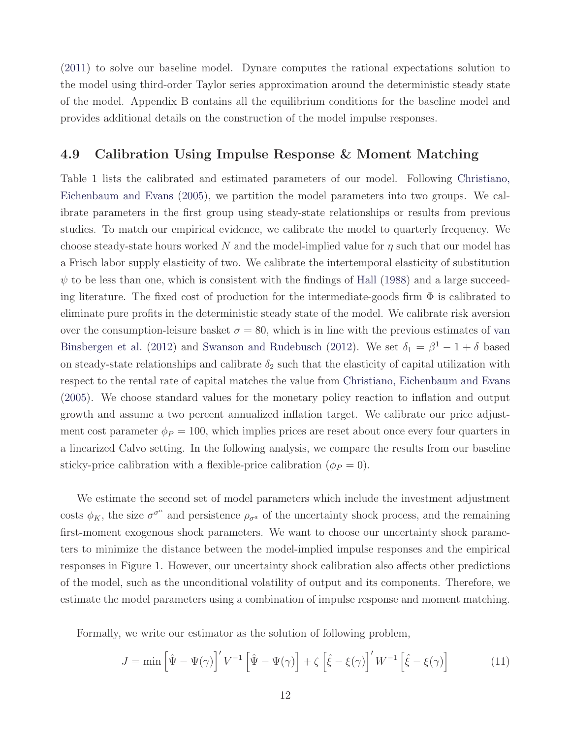(2011) to solve our baseline model. Dynare computes the rational expectations solution to the model using third-order Taylor series approximation around the deterministic steady state of the model. Appendix B contains all the equilibrium conditions for the baseline model and provides additional details on the construction of the model impulse responses.

### **4.9 Calibration Using Impulse Response & Moment Matching**

Table 1 lists the calibrated and estimated parameters of our model. Following Christiano, Eichenbaum and Evans (2005), we partition the model parameters into two groups. We calibrate parameters in the first group using steady-state relationships or results from previous studies. To match our empirical evidence, we calibrate the model to quarterly frequency. We choose steady-state hours worked N and the model-implied value for  $\eta$  such that our model has a Frisch labor supply elasticity of two. We calibrate the intertemporal elasticity of substitution  $\psi$  to be less than one, which is consistent with the findings of Hall (1988) and a large succeeding literature. The fixed cost of production for the intermediate-goods firm  $\Phi$  is calibrated to eliminate pure profits in the deterministic steady state of the model. We calibrate risk aversion over the consumption-leisure basket  $\sigma = 80$ , which is in line with the previous estimates of van Binsbergen et al. (2012) and Swanson and Rudebusch (2012). We set  $\delta_1 = \beta^1 - 1 + \delta$  based on steady-state relationships and calibrate  $\delta_2$  such that the elasticity of capital utilization with respect to the rental rate of capital matches the value from Christiano, Eichenbaum and Evans (2005). We choose standard values for the monetary policy reaction to inflation and output growth and assume a two percent annualized inflation target. We calibrate our price adjustment cost parameter  $\phi_P = 100$ , which implies prices are reset about once every four quarters in a linearized Calvo setting. In the following analysis, we compare the results from our baseline sticky-price calibration with a flexible-price calibration ( $\phi_P = 0$ ).

We estimate the second set of model parameters which include the investment adjustment costs  $\phi_K$ , the size  $\sigma^{\sigma^a}$  and persistence  $\rho_{\sigma^a}$  of the uncertainty shock process, and the remaining first-moment exogenous shock parameters. We want to choose our uncertainty shock parameters to minimize the distance between the model-implied impulse responses and the empirical responses in Figure 1. However, our uncertainty shock calibration also affects other predictions of the model, such as the unconditional volatility of output and its components. Therefore, we estimate the model parameters using a combination of impulse response and moment matching.

Formally, we write our estimator as the solution of following problem,

$$
J = \min\left[\hat{\Psi} - \Psi(\gamma)\right]'V^{-1}\left[\hat{\Psi} - \Psi(\gamma)\right] + \zeta\left[\hat{\xi} - \xi(\gamma)\right]'W^{-1}\left[\hat{\xi} - \xi(\gamma)\right] \tag{11}
$$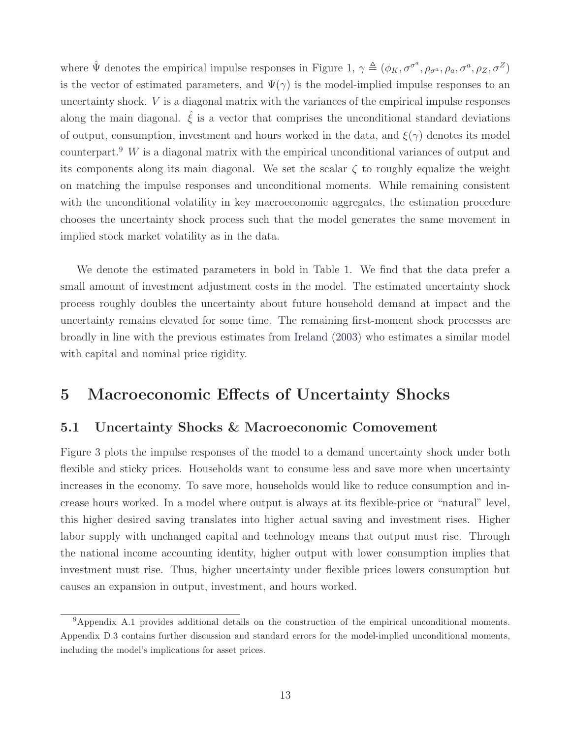where  $\hat{\Psi}$  denotes the empirical impulse responses in Figure 1,  $\gamma \triangleq (\phi_K, \sigma^{\sigma^a}, \rho_{\sigma^a}, \rho_a, \sigma^a, \rho_Z, \sigma^Z)$ is the vector of estimated parameters, and  $\Psi(\gamma)$  is the model-implied impulse responses to an uncertainty shock. V is a diagonal matrix with the variances of the empirical impulse responses along the main diagonal.  $\hat{\xi}$  is a vector that comprises the unconditional standard deviations of output, consumption, investment and hours worked in the data, and  $\xi(\gamma)$  denotes its model counterpart.<sup>9</sup> W is a diagonal matrix with the empirical unconditional variances of output and its components along its main diagonal. We set the scalar  $\zeta$  to roughly equalize the weight on matching the impulse responses and unconditional moments. While remaining consistent with the unconditional volatility in key macroeconomic aggregates, the estimation procedure chooses the uncertainty shock process such that the model generates the same movement in implied stock market volatility as in the data.

We denote the estimated parameters in bold in Table 1. We find that the data prefer a small amount of investment adjustment costs in the model. The estimated uncertainty shock process roughly doubles the uncertainty about future household demand at impact and the uncertainty remains elevated for some time. The remaining first-moment shock processes are broadly in line with the previous estimates from Ireland (2003) who estimates a similar model with capital and nominal price rigidity.

# **5 Macroeconomic Effects of Uncertainty Shocks**

### **5.1 Uncertainty Shocks & Macroeconomic Comovement**

Figure 3 plots the impulse responses of the model to a demand uncertainty shock under both flexible and sticky prices. Households want to consume less and save more when uncertainty increases in the economy. To save more, households would like to reduce consumption and increase hours worked. In a model where output is always at its flexible-price or "natural" level, this higher desired saving translates into higher actual saving and investment rises. Higher labor supply with unchanged capital and technology means that output must rise. Through the national income accounting identity, higher output with lower consumption implies that investment must rise. Thus, higher uncertainty under flexible prices lowers consumption but causes an expansion in output, investment, and hours worked.

<sup>9</sup>Appendix A.1 provides additional details on the construction of the empirical unconditional moments. Appendix D.3 contains further discussion and standard errors for the model-implied unconditional moments, including the model's implications for asset prices.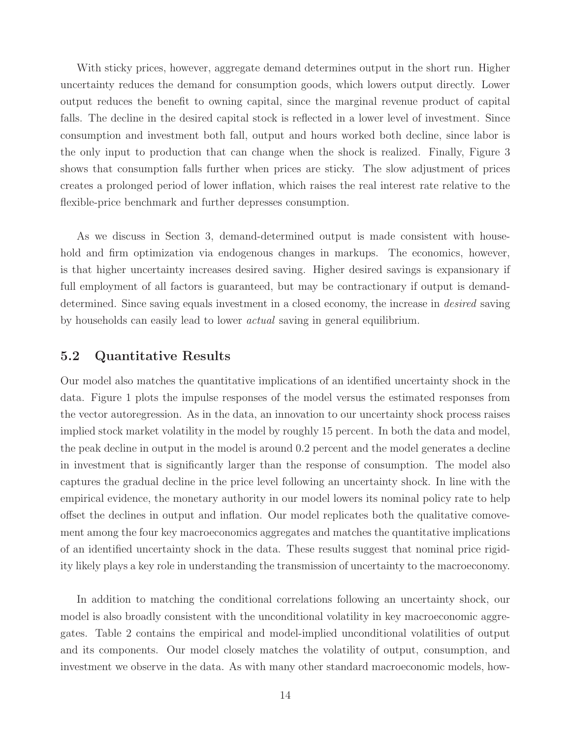With sticky prices, however, aggregate demand determines output in the short run. Higher uncertainty reduces the demand for consumption goods, which lowers output directly. Lower output reduces the benefit to owning capital, since the marginal revenue product of capital falls. The decline in the desired capital stock is reflected in a lower level of investment. Since consumption and investment both fall, output and hours worked both decline, since labor is the only input to production that can change when the shock is realized. Finally, Figure 3 shows that consumption falls further when prices are sticky. The slow adjustment of prices creates a prolonged period of lower inflation, which raises the real interest rate relative to the flexible-price benchmark and further depresses consumption.

As we discuss in Section 3, demand-determined output is made consistent with household and firm optimization via endogenous changes in markups. The economics, however, is that higher uncertainty increases desired saving. Higher desired savings is expansionary if full employment of all factors is guaranteed, but may be contractionary if output is demanddetermined. Since saving equals investment in a closed economy, the increase in *desired* saving by households can easily lead to lower actual saving in general equilibrium.

### **5.2 Quantitative Results**

Our model also matches the quantitative implications of an identified uncertainty shock in the data. Figure 1 plots the impulse responses of the model versus the estimated responses from the vector autoregression. As in the data, an innovation to our uncertainty shock process raises implied stock market volatility in the model by roughly 15 percent. In both the data and model, the peak decline in output in the model is around 0.2 percent and the model generates a decline in investment that is significantly larger than the response of consumption. The model also captures the gradual decline in the price level following an uncertainty shock. In line with the empirical evidence, the monetary authority in our model lowers its nominal policy rate to help offset the declines in output and inflation. Our model replicates both the qualitative comovement among the four key macroeconomics aggregates and matches the quantitative implications of an identified uncertainty shock in the data. These results suggest that nominal price rigidity likely plays a key role in understanding the transmission of uncertainty to the macroeconomy.

In addition to matching the conditional correlations following an uncertainty shock, our model is also broadly consistent with the unconditional volatility in key macroeconomic aggregates. Table 2 contains the empirical and model-implied unconditional volatilities of output and its components. Our model closely matches the volatility of output, consumption, and investment we observe in the data. As with many other standard macroeconomic models, how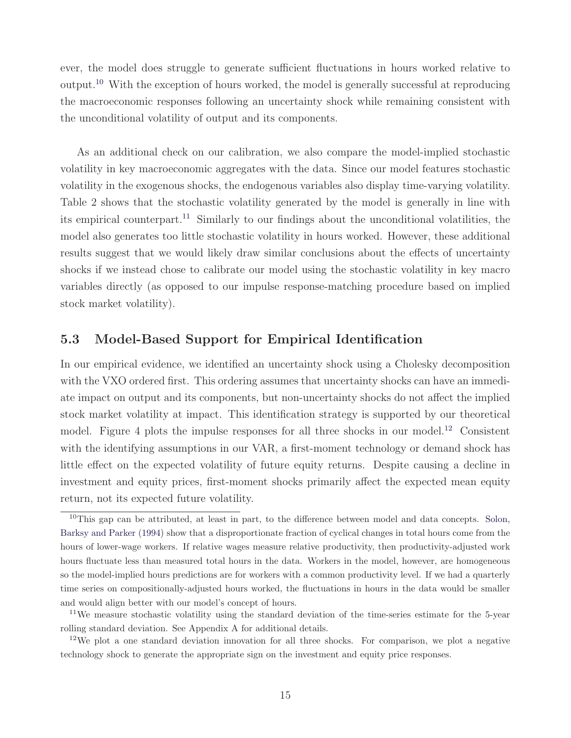ever, the model does struggle to generate sufficient fluctuations in hours worked relative to output.<sup>10</sup> With the exception of hours worked, the model is generally successful at reproducing the macroeconomic responses following an uncertainty shock while remaining consistent with the unconditional volatility of output and its components.

As an additional check on our calibration, we also compare the model-implied stochastic volatility in key macroeconomic aggregates with the data. Since our model features stochastic volatility in the exogenous shocks, the endogenous variables also display time-varying volatility. Table 2 shows that the stochastic volatility generated by the model is generally in line with its empirical counterpart.<sup>11</sup> Similarly to our findings about the unconditional volatilities, the model also generates too little stochastic volatility in hours worked. However, these additional results suggest that we would likely draw similar conclusions about the effects of uncertainty shocks if we instead chose to calibrate our model using the stochastic volatility in key macro variables directly (as opposed to our impulse response-matching procedure based on implied stock market volatility).

### **5.3 Model-Based Support for Empirical Identification**

In our empirical evidence, we identified an uncertainty shock using a Cholesky decomposition with the VXO ordered first. This ordering assumes that uncertainty shocks can have an immediate impact on output and its components, but non-uncertainty shocks do not affect the implied stock market volatility at impact. This identification strategy is supported by our theoretical model. Figure 4 plots the impulse responses for all three shocks in our model.<sup>12</sup> Consistent with the identifying assumptions in our VAR, a first-moment technology or demand shock has little effect on the expected volatility of future equity returns. Despite causing a decline in investment and equity prices, first-moment shocks primarily affect the expected mean equity return, not its expected future volatility.

 $10$ This gap can be attributed, at least in part, to the difference between model and data concepts. Solon, Barksy and Parker (1994) show that a disproportionate fraction of cyclical changes in total hours come from the hours of lower-wage workers. If relative wages measure relative productivity, then productivity-adjusted work hours fluctuate less than measured total hours in the data. Workers in the model, however, are homogeneous so the model-implied hours predictions are for workers with a common productivity level. If we had a quarterly time series on compositionally-adjusted hours worked, the fluctuations in hours in the data would be smaller and would align better with our model's concept of hours.

<sup>&</sup>lt;sup>11</sup>We measure stochastic volatility using the standard deviation of the time-series estimate for the 5-year rolling standard deviation. See Appendix A for additional details.

<sup>&</sup>lt;sup>12</sup>We plot a one standard deviation innovation for all three shocks. For comparison, we plot a negative technology shock to generate the appropriate sign on the investment and equity price responses.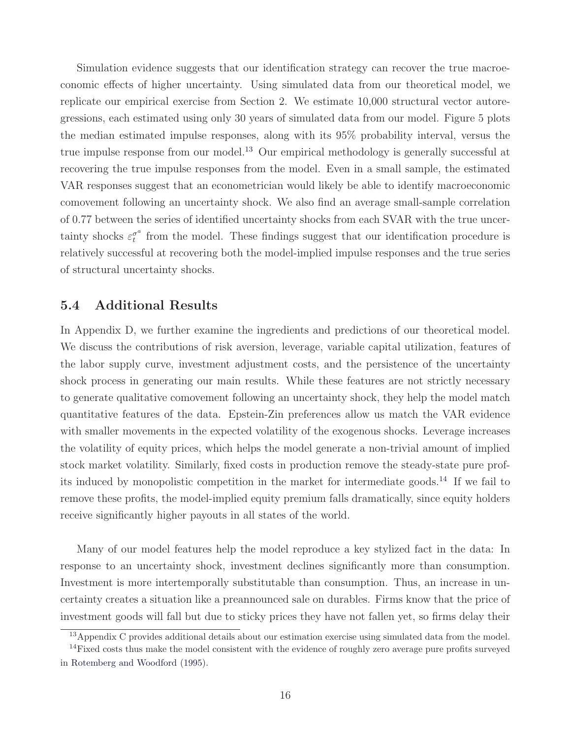Simulation evidence suggests that our identification strategy can recover the true macroeconomic effects of higher uncertainty. Using simulated data from our theoretical model, we replicate our empirical exercise from Section 2. We estimate 10,000 structural vector autoregressions, each estimated using only 30 years of simulated data from our model. Figure 5 plots the median estimated impulse responses, along with its 95% probability interval, versus the true impulse response from our model.<sup>13</sup> Our empirical methodology is generally successful at recovering the true impulse responses from the model. Even in a small sample, the estimated VAR responses suggest that an econometrician would likely be able to identify macroeconomic comovement following an uncertainty shock. We also find an average small-sample correlation of 0.77 between the series of identified uncertainty shocks from each SVAR with the true uncertainty shocks  $\varepsilon_t^{\sigma^a}$  from the model. These findings suggest that our identification procedure is relatively successful at recovering both the model-implied impulse responses and the true series of structural uncertainty shocks.

### **5.4 Additional Results**

In Appendix D, we further examine the ingredients and predictions of our theoretical model. We discuss the contributions of risk aversion, leverage, variable capital utilization, features of the labor supply curve, investment adjustment costs, and the persistence of the uncertainty shock process in generating our main results. While these features are not strictly necessary to generate qualitative comovement following an uncertainty shock, they help the model match quantitative features of the data. Epstein-Zin preferences allow us match the VAR evidence with smaller movements in the expected volatility of the exogenous shocks. Leverage increases the volatility of equity prices, which helps the model generate a non-trivial amount of implied stock market volatility. Similarly, fixed costs in production remove the steady-state pure profits induced by monopolistic competition in the market for intermediate goods.<sup>14</sup> If we fail to remove these profits, the model-implied equity premium falls dramatically, since equity holders receive significantly higher payouts in all states of the world.

Many of our model features help the model reproduce a key stylized fact in the data: In response to an uncertainty shock, investment declines significantly more than consumption. Investment is more intertemporally substitutable than consumption. Thus, an increase in uncertainty creates a situation like a preannounced sale on durables. Firms know that the price of investment goods will fall but due to sticky prices they have not fallen yet, so firms delay their

<sup>13</sup>Appendix C provides additional details about our estimation exercise using simulated data from the model.

<sup>&</sup>lt;sup>14</sup>Fixed costs thus make the model consistent with the evidence of roughly zero average pure profits surveyed in Rotemberg and Woodford (1995).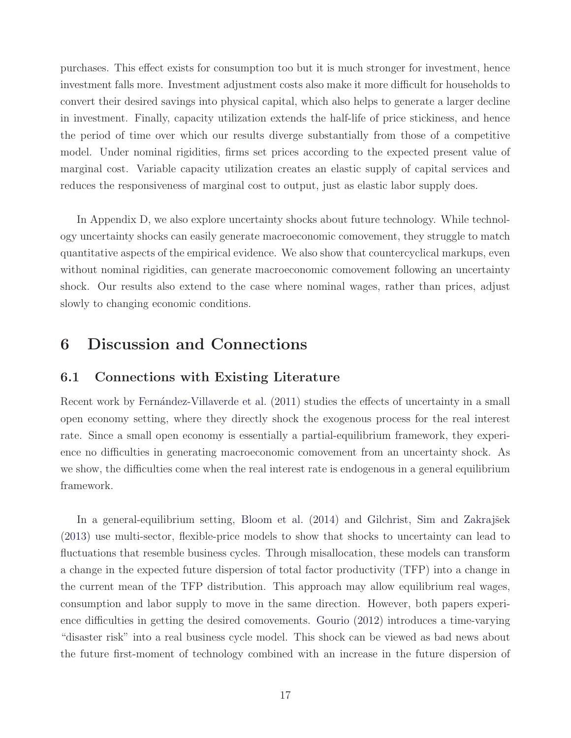purchases. This effect exists for consumption too but it is much stronger for investment, hence investment falls more. Investment adjustment costs also make it more difficult for households to convert their desired savings into physical capital, which also helps to generate a larger decline in investment. Finally, capacity utilization extends the half-life of price stickiness, and hence the period of time over which our results diverge substantially from those of a competitive model. Under nominal rigidities, firms set prices according to the expected present value of marginal cost. Variable capacity utilization creates an elastic supply of capital services and reduces the responsiveness of marginal cost to output, just as elastic labor supply does.

In Appendix D, we also explore uncertainty shocks about future technology. While technology uncertainty shocks can easily generate macroeconomic comovement, they struggle to match quantitative aspects of the empirical evidence. We also show that countercyclical markups, even without nominal rigidities, can generate macroeconomic comovement following an uncertainty shock. Our results also extend to the case where nominal wages, rather than prices, adjust slowly to changing economic conditions.

# **6 Discussion and Connections**

### **6.1 Connections with Existing Literature**

Recent work by Fernández-Villaverde et al. (2011) studies the effects of uncertainty in a small open economy setting, where they directly shock the exogenous process for the real interest rate. Since a small open economy is essentially a partial-equilibrium framework, they experience no difficulties in generating macroeconomic comovement from an uncertainty shock. As we show, the difficulties come when the real interest rate is endogenous in a general equilibrium framework.

In a general-equilibrium setting, Bloom et al. (2014) and Gilchrist, Sim and Zakrajšek (2013) use multi-sector, flexible-price models to show that shocks to uncertainty can lead to fluctuations that resemble business cycles. Through misallocation, these models can transform a change in the expected future dispersion of total factor productivity (TFP) into a change in the current mean of the TFP distribution. This approach may allow equilibrium real wages, consumption and labor supply to move in the same direction. However, both papers experience difficulties in getting the desired comovements. Gourio (2012) introduces a time-varying "disaster risk" into a real business cycle model. This shock can be viewed as bad news about the future first-moment of technology combined with an increase in the future dispersion of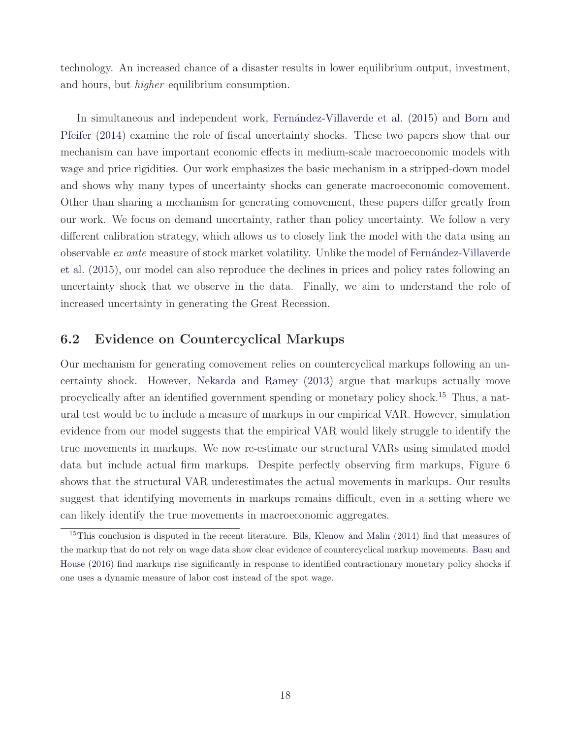technology. An increased chance of a disaster results in lower equilibrium output, investment, and hours, but higher equilibrium consumption.

In simultaneous and independent work, Fernández-Villaverde et al. (2015) and Born and Pfeifer (2014) examine the role of fiscal uncertainty shocks. These two papers show that our mechanism can have important economic effects in medium-scale macroeconomic models with wage and price rigidities. Our work emphasizes the basic mechanism in a stripped-down model and shows why many types of uncertainty shocks can generate macroeconomic comovement. Other than sharing a mechanism for generating comovement, these papers differ greatly from our work. We focus on demand uncertainty, rather than policy uncertainty. We follow a very different calibration strategy, which allows us to closely link the model with the data using an observable  $ex$  ante measure of stock market volatility. Unlike the model of Fernández-Villaverde et al. (2015), our model can also reproduce the declines in prices and policy rates following an uncertainty shock that we observe in the data. Finally, we aim to understand the role of increased uncertainty in generating the Great Recession.

### **6.2 Evidence on Countercyclical Markups**

Our mechanism for generating comovement relies on countercyclical markups following an uncertainty shock. However, Nekarda and Ramey (2013) argue that markups actually move procyclically after an identified government spending or monetary policy shock.<sup>15</sup> Thus, a natural test would be to include a measure of markups in our empirical VAR. However, simulation evidence from our model suggests that the empirical VAR would likely struggle to identify the true movements in markups. We now re-estimate our structural VARs using simulated model data but include actual firm markups. Despite perfectly observing firm markups, Figure 6 shows that the structural VAR underestimates the actual movements in markups. Our results suggest that identifying movements in markups remains difficult, even in a setting where we can likely identify the true movements in macroeconomic aggregates.

<sup>&</sup>lt;sup>15</sup>This conclusion is disputed in the recent literature. Bils, Klenow and Malin (2014) find that measures of the markup that do not rely on wage data show clear evidence of countercyclical markup movements. Basu and House (2016) find markups rise significantly in response to identified contractionary monetary policy shocks if one uses a dynamic measure of labor cost instead of the spot wage.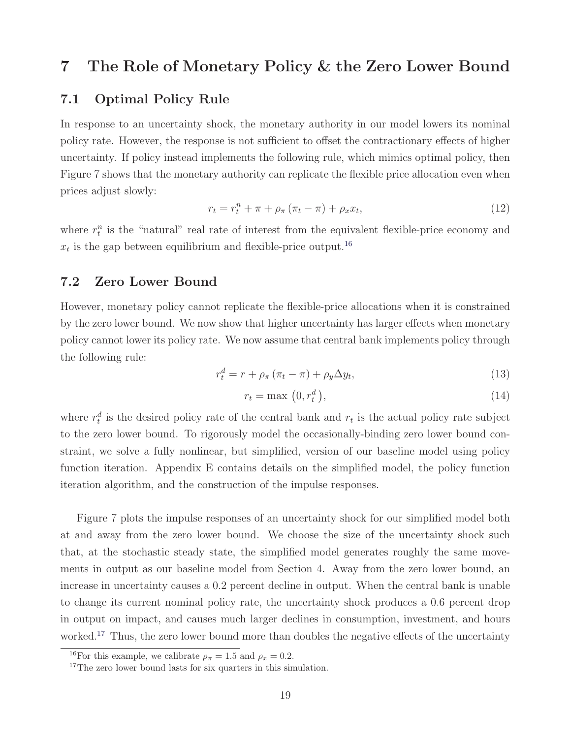# **7 The Role of Monetary Policy & the Zero Lower Bound**

### **7.1 Optimal Policy Rule**

In response to an uncertainty shock, the monetary authority in our model lowers its nominal policy rate. However, the response is not sufficient to offset the contractionary effects of higher uncertainty. If policy instead implements the following rule, which mimics optimal policy, then Figure 7 shows that the monetary authority can replicate the flexible price allocation even when prices adjust slowly:

$$
r_t = r_t^n + \pi + \rho_\pi (\pi_t - \pi) + \rho_x x_t, \qquad (12)
$$

where  $r_t^n$  is the "natural" real rate of interest from the equivalent flexible-price economy and  $x_t$  is the gap between equilibrium and flexible-price output.<sup>16</sup>

### **7.2 Zero Lower Bound**

However, monetary policy cannot replicate the flexible-price allocations when it is constrained by the zero lower bound. We now show that higher uncertainty has larger effects when monetary policy cannot lower its policy rate. We now assume that central bank implements policy through the following rule:

$$
r_t^d = r + \rho_\pi \left(\pi_t - \pi\right) + \rho_y \Delta y_t,\tag{13}
$$

$$
r_t = \max\left(0, r_t^d\right),\tag{14}
$$

where  $r_t^d$  is the desired policy rate of the central bank and  $r_t$  is the actual policy rate subject to the zero lower bound. To rigorously model the occasionally-binding zero lower bound constraint, we solve a fully nonlinear, but simplified, version of our baseline model using policy function iteration. Appendix E contains details on the simplified model, the policy function iteration algorithm, and the construction of the impulse responses.

Figure 7 plots the impulse responses of an uncertainty shock for our simplified model both at and away from the zero lower bound. We choose the size of the uncertainty shock such that, at the stochastic steady state, the simplified model generates roughly the same movements in output as our baseline model from Section 4. Away from the zero lower bound, an increase in uncertainty causes a 0.2 percent decline in output. When the central bank is unable to change its current nominal policy rate, the uncertainty shock produces a 0.6 percent drop in output on impact, and causes much larger declines in consumption, investment, and hours worked.<sup>17</sup> Thus, the zero lower bound more than doubles the negative effects of the uncertainty

<sup>&</sup>lt;sup>16</sup>For this example, we calibrate  $\rho_{\pi} = 1.5$  and  $\rho_{x} = 0.2$ .

<sup>&</sup>lt;sup>17</sup>The zero lower bound lasts for six quarters in this simulation.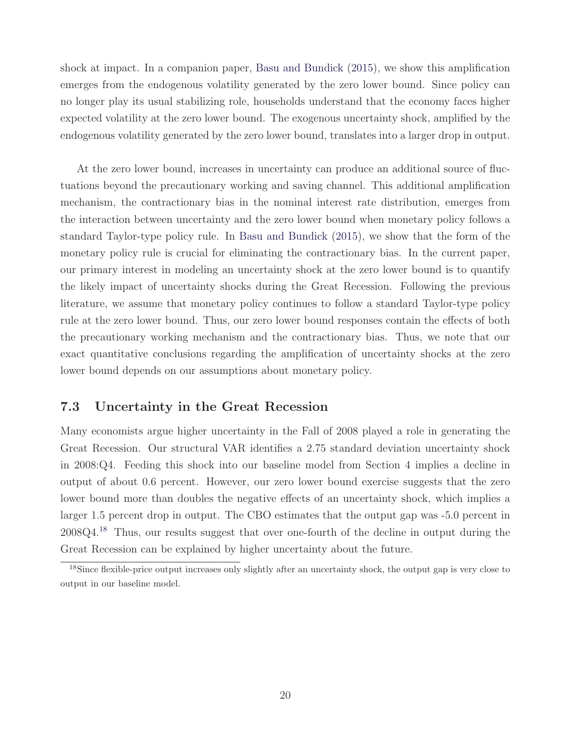shock at impact. In a companion paper, Basu and Bundick (2015), we show this amplification emerges from the endogenous volatility generated by the zero lower bound. Since policy can no longer play its usual stabilizing role, households understand that the economy faces higher expected volatility at the zero lower bound. The exogenous uncertainty shock, amplified by the endogenous volatility generated by the zero lower bound, translates into a larger drop in output.

At the zero lower bound, increases in uncertainty can produce an additional source of fluctuations beyond the precautionary working and saving channel. This additional amplification mechanism, the contractionary bias in the nominal interest rate distribution, emerges from the interaction between uncertainty and the zero lower bound when monetary policy follows a standard Taylor-type policy rule. In Basu and Bundick (2015), we show that the form of the monetary policy rule is crucial for eliminating the contractionary bias. In the current paper, our primary interest in modeling an uncertainty shock at the zero lower bound is to quantify the likely impact of uncertainty shocks during the Great Recession. Following the previous literature, we assume that monetary policy continues to follow a standard Taylor-type policy rule at the zero lower bound. Thus, our zero lower bound responses contain the effects of both the precautionary working mechanism and the contractionary bias. Thus, we note that our exact quantitative conclusions regarding the amplification of uncertainty shocks at the zero lower bound depends on our assumptions about monetary policy.

### **7.3 Uncertainty in the Great Recession**

Many economists argue higher uncertainty in the Fall of 2008 played a role in generating the Great Recession. Our structural VAR identifies a 2.75 standard deviation uncertainty shock in 2008:Q4. Feeding this shock into our baseline model from Section 4 implies a decline in output of about 0.6 percent. However, our zero lower bound exercise suggests that the zero lower bound more than doubles the negative effects of an uncertainty shock, which implies a larger 1.5 percent drop in output. The CBO estimates that the output gap was -5.0 percent in 2008Q4.<sup>18</sup> Thus, our results suggest that over one-fourth of the decline in output during the Great Recession can be explained by higher uncertainty about the future.

<sup>18</sup>Since flexible-price output increases only slightly after an uncertainty shock, the output gap is very close to output in our baseline model.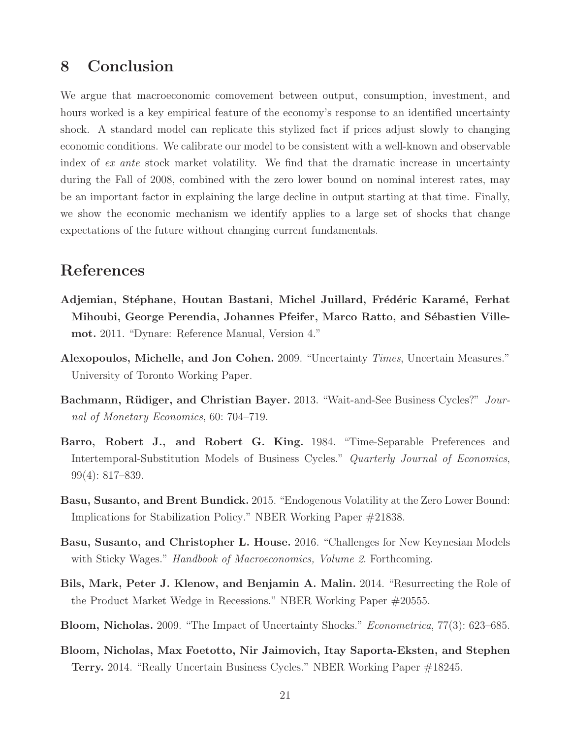# **8 Conclusion**

We argue that macroeconomic comovement between output, consumption, investment, and hours worked is a key empirical feature of the economy's response to an identified uncertainty shock. A standard model can replicate this stylized fact if prices adjust slowly to changing economic conditions. We calibrate our model to be consistent with a well-known and observable index of ex ante stock market volatility. We find that the dramatic increase in uncertainty during the Fall of 2008, combined with the zero lower bound on nominal interest rates, may be an important factor in explaining the large decline in output starting at that time. Finally, we show the economic mechanism we identify applies to a large set of shocks that change expectations of the future without changing current fundamentals.

# **References**

- **Adjemian, St´ephane, Houtan Bastani, Michel Juillard, Fr´ed´eric Karam´e, Ferhat** Mihoubi, George Perendia, Johannes Pfeifer, Marco Ratto, and Sébastien Ville**mot.** 2011. "Dynare: Reference Manual, Version 4."
- **Alexopoulos, Michelle, and Jon Cohen.** 2009. "Uncertainty Times, Uncertain Measures." University of Toronto Working Paper.
- **Bachmann, Rüdiger, and Christian Bayer.** 2013. "Wait-and-See Business Cycles?" Journal of Monetary Economics, 60: 704–719.
- **Barro, Robert J., and Robert G. King.** 1984. "Time-Separable Preferences and Intertemporal-Substitution Models of Business Cycles." Quarterly Journal of Economics, 99(4): 817–839.
- **Basu, Susanto, and Brent Bundick.** 2015. "Endogenous Volatility at the Zero Lower Bound: Implications for Stabilization Policy." NBER Working Paper #21838.
- **Basu, Susanto, and Christopher L. House.** 2016. "Challenges for New Keynesian Models with Sticky Wages." *Handbook of Macroeconomics, Volume 2.* Forthcoming.
- **Bils, Mark, Peter J. Klenow, and Benjamin A. Malin.** 2014. "Resurrecting the Role of the Product Market Wedge in Recessions." NBER Working Paper #20555.
- **Bloom, Nicholas.** 2009. "The Impact of Uncertainty Shocks." Econometrica, 77(3): 623–685.
- **Bloom, Nicholas, Max Foetotto, Nir Jaimovich, Itay Saporta-Eksten, and Stephen Terry.** 2014. "Really Uncertain Business Cycles." NBER Working Paper #18245.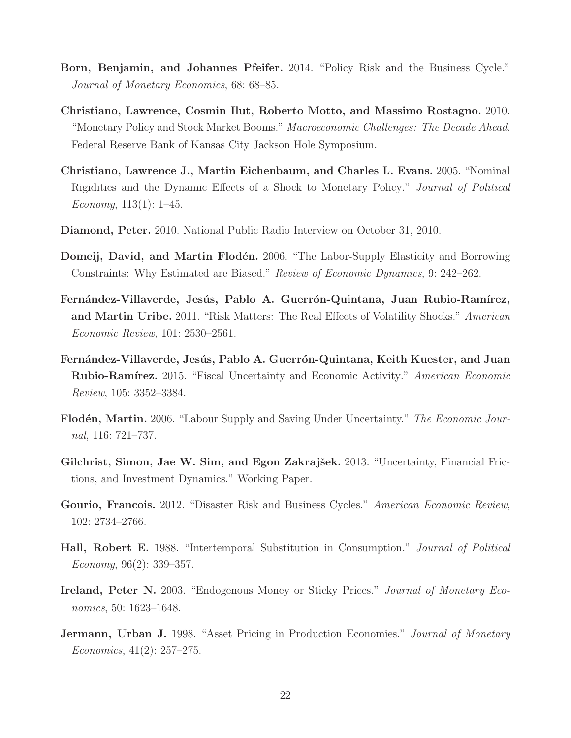- **Born, Benjamin, and Johannes Pfeifer.** 2014. "Policy Risk and the Business Cycle." Journal of Monetary Economics, 68: 68–85.
- **Christiano, Lawrence, Cosmin Ilut, Roberto Motto, and Massimo Rostagno.** 2010. "Monetary Policy and Stock Market Booms." Macroeconomic Challenges: The Decade Ahead. Federal Reserve Bank of Kansas City Jackson Hole Symposium.
- **Christiano, Lawrence J., Martin Eichenbaum, and Charles L. Evans.** 2005. "Nominal Rigidities and the Dynamic Effects of a Shock to Monetary Policy." Journal of Political Economy,  $113(1)$ : 1–45.
- **Diamond, Peter.** 2010. National Public Radio Interview on October 31, 2010.
- **Domeij, David, and Martin Flodén.** 2006. "The Labor-Supply Elasticity and Borrowing Constraints: Why Estimated are Biased." Review of Economic Dynamics, 9: 242–262.
- Fernández-Villaverde, Jesús, Pablo A. Guerrón-Quintana, Juan Rubio-Ramírez, **and Martin Uribe.** 2011. "Risk Matters: The Real Effects of Volatility Shocks." American Economic Review, 101: 2530–2561.
- Fernández-Villaverde, Jesús, Pablo A. Guerrón-Quintana, Keith Kuester, and Juan **Rubio-Ramírez.** 2015. "Fiscal Uncertainty and Economic Activity." American Economic Review, 105: 3352–3384.
- Flodén, Martin. 2006. "Labour Supply and Saving Under Uncertainty." The Economic Journal, 116: 721–737.
- **Gilchrist, Simon, Jae W. Sim, and Egon Zakrajšek.** 2013. "Uncertainty, Financial Frictions, and Investment Dynamics." Working Paper.
- Gourio, Francois. 2012. "Disaster Risk and Business Cycles." American Economic Review, 102: 2734–2766.
- **Hall, Robert E.** 1988. "Intertemporal Substitution in Consumption." Journal of Political Economy,  $96(2)$ : 339–357.
- **Ireland, Peter N.** 2003. "Endogenous Money or Sticky Prices." Journal of Monetary Economics, 50: 1623–1648.
- **Jermann, Urban J.** 1998. "Asset Pricing in Production Economies." *Journal of Monetary*  $Economics, 41(2): 257-275.$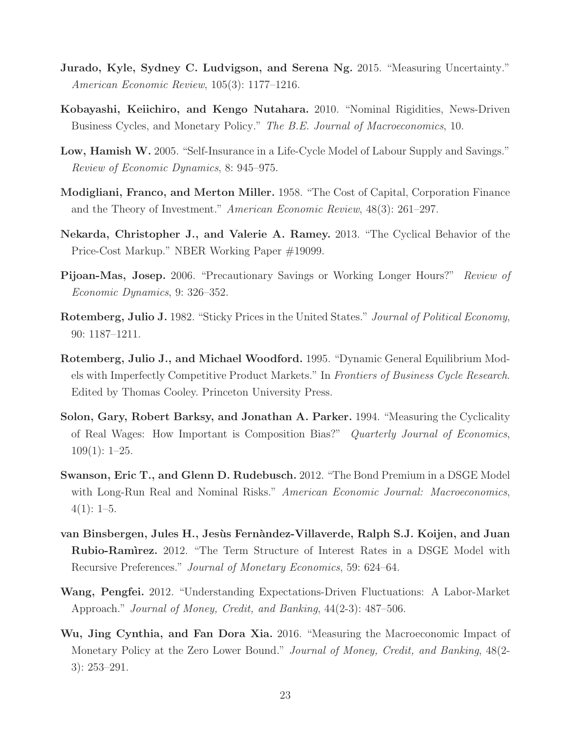- **Jurado, Kyle, Sydney C. Ludvigson, and Serena Ng. 2015.** "Measuring Uncertainty." American Economic Review, 105(3): 1177–1216.
- **Kobayashi, Keiichiro, and Kengo Nutahara.** 2010. "Nominal Rigidities, News-Driven Business Cycles, and Monetary Policy." The B.E. Journal of Macroeconomics, 10.
- **Low, Hamish W.** 2005. "Self-Insurance in a Life-Cycle Model of Labour Supply and Savings." Review of Economic Dynamics, 8: 945–975.
- **Modigliani, Franco, and Merton Miller.** 1958. "The Cost of Capital, Corporation Finance and the Theory of Investment." American Economic Review, 48(3): 261–297.
- **Nekarda, Christopher J., and Valerie A. Ramey.** 2013. "The Cyclical Behavior of the Price-Cost Markup." NBER Working Paper #19099.
- **Pijoan-Mas, Josep.** 2006. "Precautionary Savings or Working Longer Hours?" Review of Economic Dynamics, 9: 326–352.
- **Rotemberg, Julio J.** 1982. "Sticky Prices in the United States." Journal of Political Economy, 90: 1187–1211.
- **Rotemberg, Julio J., and Michael Woodford.** 1995. "Dynamic General Equilibrium Models with Imperfectly Competitive Product Markets." In Frontiers of Business Cycle Research. Edited by Thomas Cooley. Princeton University Press.
- **Solon, Gary, Robert Barksy, and Jonathan A. Parker.** 1994. "Measuring the Cyclicality of Real Wages: How Important is Composition Bias?" Quarterly Journal of Economics,  $109(1): 1-25.$
- **Swanson, Eric T., and Glenn D. Rudebusch.** 2012. "The Bond Premium in a DSGE Model with Long-Run Real and Nominal Risks." American Economic Journal: Macroeconomics,  $4(1): 1-5.$
- **van Binsbergen, Jules H., Jes`us Fern`andez-Villaverde, Ralph S.J. Koijen, and Juan Rubio-Ram`ırez.** 2012. "The Term Structure of Interest Rates in a DSGE Model with Recursive Preferences." Journal of Monetary Economics, 59: 624–64.
- **Wang, Pengfei.** 2012. "Understanding Expectations-Driven Fluctuations: A Labor-Market Approach." Journal of Money, Credit, and Banking, 44(2-3): 487–506.
- **Wu, Jing Cynthia, and Fan Dora Xia.** 2016. "Measuring the Macroeconomic Impact of Monetary Policy at the Zero Lower Bound." Journal of Money, Credit, and Banking, 48(2- 3): 253–291.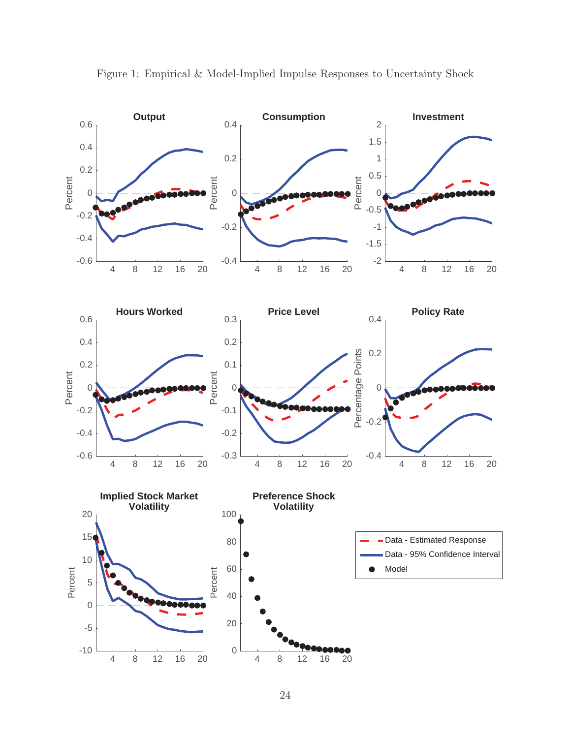

Figure 1: Empirical & Model-Implied Impulse Responses to Uncertainty Shock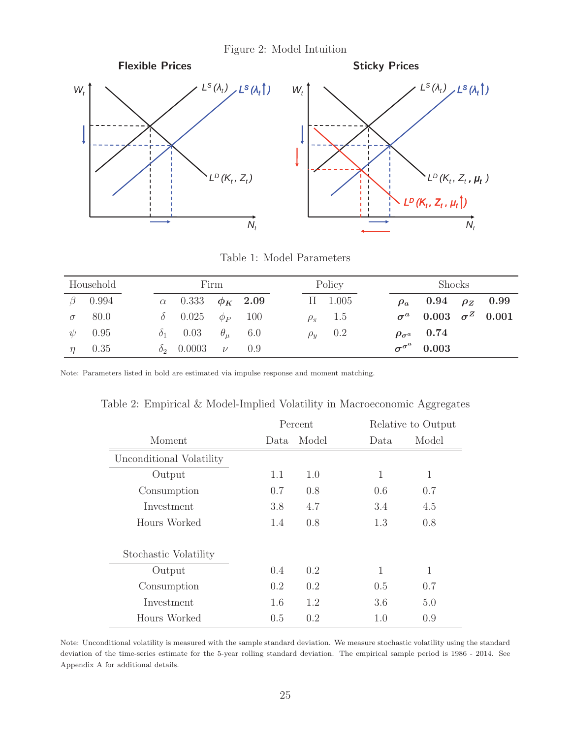Figure 2: Model Intuition



Table 1: Model Parameters

| Household |               | Firm |                                  |  |  | Policy |                  | Shocks |                                   |  |  |
|-----------|---------------|------|----------------------------------|--|--|--------|------------------|--------|-----------------------------------|--|--|
|           | $\beta$ 0.994 |      | $\alpha$ 0.333 $\phi_K$ 2.09     |  |  |        | $\Pi$ 1.005      |        | $\rho_a$ 0.94 $\rho_Z$ 0.99       |  |  |
|           | $\sigma$ 80.0 |      | $\delta$ 0.025 $\phi_P$ 100      |  |  |        | $\rho_{\pi}$ 1.5 |        | $\sigma^a$ 0.003 $\sigma^Z$ 0.001 |  |  |
|           | $\psi$ 0.95   |      | $\delta_1$ 0.03 $\theta_\mu$ 6.0 |  |  |        | $\rho_y$ 0.2     |        | $\rho_{\sigma^a}$ 0.74            |  |  |
| $\eta$    | 0.35          |      | $\delta_2$ 0.0003 $\nu$ 0.9      |  |  |        |                  |        | $\sigma^{\sigma^a}$ 0.003         |  |  |

Note: Parameters listed in bold are estimated via impulse response and moment matching.

Table 2: Empirical & Model-Implied Volatility in Macroeconomic Aggregates

|                          |      | Percent       | Relative to Output |              |  |  |
|--------------------------|------|---------------|--------------------|--------------|--|--|
| Moment                   | Data | Model         | Data               | Model        |  |  |
| Unconditional Volatility |      |               |                    |              |  |  |
| Output                   | 1.1  | 1.0           | 1                  | $\mathbf{1}$ |  |  |
| Consumption              | 0.7  | 0.8           | 0.6                | 0.7          |  |  |
| Investment               | 3.8  | 4.7           | 3.4                | 4.5          |  |  |
| Hours Worked             | 1.4  | 0.8           | 1.3                | 0.8          |  |  |
| Stochastic Volatility    |      |               |                    |              |  |  |
| Output                   | 0.4  | $0.2^{\circ}$ | 1                  | 1            |  |  |
| Consumption              | 0.2  | 0.2           | 0.5                | 0.7          |  |  |
| Investment               | 1.6  | 1.2           | 3.6                | 5.0          |  |  |
| Hours Worked             | 0.5  | 0.2           | 1.0                | 0.9          |  |  |

Note: Unconditional volatility is measured with the sample standard deviation. We measure stochastic volatility using the standard deviation of the time-series estimate for the 5-year rolling standard deviation. The empirical sample period is 1986 - 2014. See Appendix A for additional details.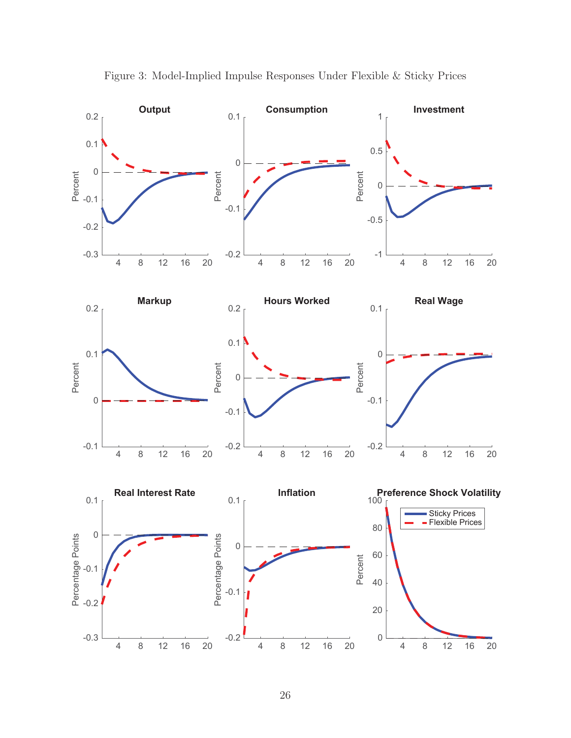

Figure 3: Model-Implied Impulse Responses Under Flexible & Sticky Prices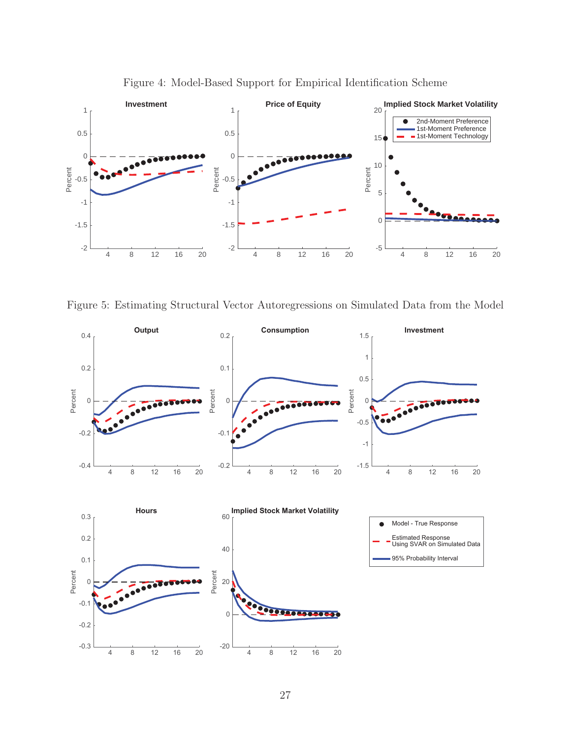

Figure 4: Model-Based Support for Empirical Identification Scheme

Figure 5: Estimating Structural Vector Autoregressions on Simulated Data from the Model